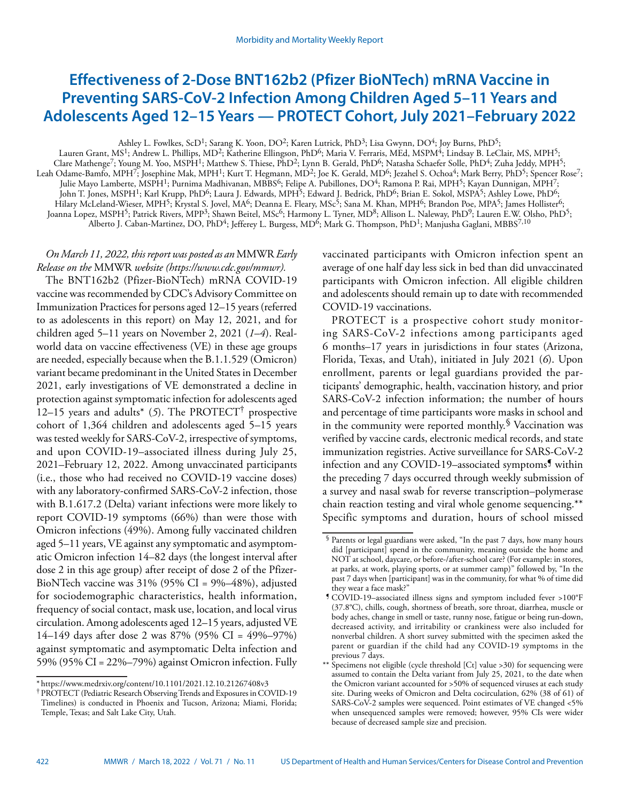# **Effectiveness of 2-Dose BNT162b2 (Pfizer BioNTech) mRNA Vaccine in Preventing SARS-CoV-2 Infection Among Children Aged 5–11 Years and Adolescents Aged 12–15 Years — PROTECT Cohort, July 2021–February 2022**

Ashley L. Fowlkes, ScD<sup>1</sup>; Sarang K. Yoon, DO<sup>2</sup>; Karen Lutrick, PhD<sup>3</sup>; Lisa Gwynn, DO<sup>4</sup>; Joy Burns, PhD<sup>5</sup>;

Lauren Grant, MS<sup>1</sup>; Andrew L. Phillips, MD<sup>2</sup>; Katherine Ellingson, PhD<sup>6</sup>; Maria V. Ferraris, MEd, MSPM<sup>4</sup>; Lindsay B. LeClair, MS, MPH<sup>5</sup>; Clare Mathenge7; Young M. Yoo, MSPH1; Matthew S. Thiese, PhD2; Lynn B. Gerald, PhD6; Natasha Schaefer Solle, PhD4; Zuha Jeddy, MPH5; Leah Odame-Bamfo, MPH<sup>7</sup>; Josephine Mak, MPH<sup>1</sup>; Kurt T. Hegmann, MD<sup>2</sup>; Joe K. Gerald, MD<sup>6</sup>; Jezahel S. Ochoa<sup>4</sup>; Mark Berry, PhD<sup>5</sup>; Spencer Rose<sup>7</sup>; Julie Mayo Lamberte, MSPH<sup>1</sup>; Purnima Madhivanan, MBBS<sup>6</sup>; Felipe A. Pubillones, DO<sup>4</sup>; Ramona P. Rai, MPH<sup>5</sup>; Kayan Dunnigan, MPH<sup>7</sup>; John T. Jones, MSPH1; Karl Krupp, PhD6; Laura J. Edwards, MPH5; Edward J. Bedrick, PhD6; Brian E. Sokol, MSPA5; Ashley Lowe, PhD6; Hilary McLeland-Wieser, MPH<sup>5</sup>; Krystal S. Jovel, MA<sup>6</sup>; Deanna E. Fleary, MSc<sup>5</sup>; Sana M. Khan, MPH<sup>6</sup>; Brandon Poe, MPA<sup>5</sup>; James Hollister<sup>6</sup>; Joanna Lopez, MSPH<sup>5</sup>; Patrick Rivers, MPP<sup>3</sup>; Shawn Beitel, MSc<sup>6</sup>; Harmony L. Tyner, MD<sup>8</sup>; Allison L. Naleway, PhD<sup>9</sup>; Lauren E.W. Olsho, PhD<sup>5</sup>; Alberto J. Caban-Martinez, DO, PhD<sup>4</sup>; Jefferey L. Burgess, MD<sup>6</sup>; Mark G. Thompson, PhD<sup>1</sup>; Manjusha Gaglani, MBBS<sup>7,10</sup>

# *On March 11, 2022, this report was posted as an* MMWR *Early Release on the* MMWR *website [\(https://www.cdc.gov/mmwr\)](https://www.cdc.gov/mmwr).*

The BNT162b2 (Pfizer-BioNTech) mRNA COVID-19 vaccine was recommended by CDC's Advisory Committee on Immunization Practices for persons aged 12–15 years (referred to as adolescents in this report) on May 12, 2021, and for children aged 5–11 years on November 2, 2021 (*1*–*4*). Realworld data on vaccine effectiveness (VE) in these age groups are needed, especially because when the B.1.1.529 (Omicron) variant became predominant in the United States in December 2021, early investigations of VE demonstrated a decline in protection against symptomatic infection for adolescents aged 12–15 years and adults\* (*5*). The PROTECT† prospective cohort of 1,364 children and adolescents aged 5–15 years was tested weekly for SARS-CoV-2, irrespective of symptoms, and upon COVID-19–associated illness during July 25, 2021–February 12, 2022. Among unvaccinated participants (i.e., those who had received no COVID-19 vaccine doses) with any laboratory-confirmed SARS-CoV-2 infection, those with B.1.617.2 (Delta) variant infections were more likely to report COVID-19 symptoms (66%) than were those with Omicron infections (49%). Among fully vaccinated children aged 5–11 years, VE against any symptomatic and asymptomatic Omicron infection 14–82 days (the longest interval after dose 2 in this age group) after receipt of dose 2 of the Pfizer-BioNTech vaccine was 31% (95% CI = 9%–48%), adjusted for sociodemographic characteristics, health information, frequency of social contact, mask use, location, and local virus circulation. Among adolescents aged 12–15 years, adjusted VE 14–149 days after dose 2 was 87% (95% CI = 49%–97%) against symptomatic and asymptomatic Delta infection and 59% (95% CI = 22%–79%) against Omicron infection. Fully

vaccinated participants with Omicron infection spent an average of one half day less sick in bed than did unvaccinated participants with Omicron infection. All eligible children and adolescents should remain up to date with recommended COVID-19 vaccinations.

PROTECT is a prospective cohort study monitoring SARS-CoV-2 infections among participants aged 6 months–17 years in jurisdictions in four states (Arizona, Florida, Texas, and Utah), initiated in July 2021 (*6*). Upon enrollment, parents or legal guardians provided the participants' demographic, health, vaccination history, and prior SARS-CoV-2 infection information; the number of hours and percentage of time participants wore masks in school and in the community were reported monthly. $\frac{1}{2}$  Vaccination was verified by vaccine cards, electronic medical records, and state immunization registries. Active surveillance for SARS-CoV-2 infection and any COVID-19–associated symptoms<sup>9</sup> within the preceding 7 days occurred through weekly submission of a survey and nasal swab for reverse transcription–polymerase chain reaction testing and viral whole genome sequencing.\*\* Specific symptoms and duration, hours of school missed

<sup>\*</sup> https://www.medrxiv.org/content/10.1101/2021.12.10.21267408v3

<sup>†</sup> PROTECT (Pediatric Research Observing Trends and Exposures in COVID-19 Timelines) is conducted in Phoenix and Tucson, Arizona; Miami, Florida; Temple, Texas; and Salt Lake City, Utah.

<sup>§</sup> Parents or legal guardians were asked, "In the past 7 days, how many hours did [participant] spend in the community, meaning outside the home and NOT at school, daycare, or before-/after-school care? (For example: in stores, at parks, at work, playing sports, or at summer camp)" followed by, "In the past 7 days when [participant] was in the community, for what % of time did they wear a face mask?"

<sup>¶</sup> COVID-19–associated illness signs and symptom included fever >100°F (37.8°C), chills, cough, shortness of breath, sore throat, diarrhea, muscle or body aches, change in smell or taste, runny nose, fatigue or being run-down, decreased activity, and irritability or crankiness were also included for nonverbal children. A short survey submitted with the specimen asked the parent or guardian if the child had any COVID-19 symptoms in the previous 7 days.

<sup>\*\*</sup> Specimens not eligible (cycle threshold [Ct] value >30) for sequencing were assumed to contain the Delta variant from July 25, 2021, to the date when the Omicron variant accounted for >50% of sequenced viruses at each study site. During weeks of Omicron and Delta cocirculation, 62% (38 of 61) of SARS-CoV-2 samples were sequenced. Point estimates of VE changed <5% when unsequenced samples were removed; however, 95% CIs were wider because of decreased sample size and precision.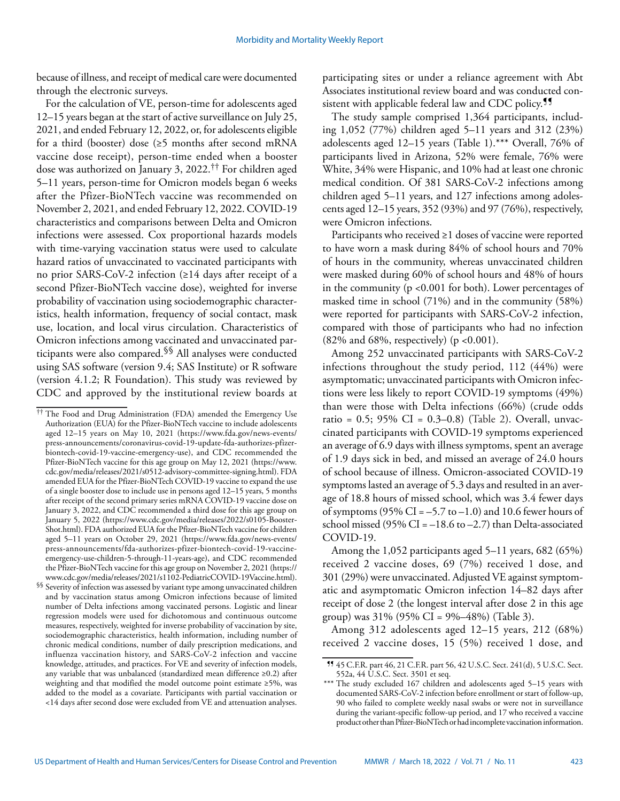because of illness, and receipt of medical care were documented through the electronic surveys.

For the calculation of VE, person-time for adolescents aged 12–15 years began at the start of active surveillance on July 25, 2021, and ended February 12, 2022, or, for adolescents eligible for a third (booster) dose (≥5 months after second mRNA vaccine dose receipt), person-time ended when a booster dose was authorized on January 3, 2022.†† For children aged 5–11 years, person-time for Omicron models began 6 weeks after the Pfizer-BioNTech vaccine was recommended on November 2, 2021, and ended February 12, 2022. COVID-19 characteristics and comparisons between Delta and Omicron infections were assessed. Cox proportional hazards models with time-varying vaccination status were used to calculate hazard ratios of unvaccinated to vaccinated participants with no prior SARS-CoV-2 infection (≥14 days after receipt of a second Pfizer-BioNTech vaccine dose), weighted for inverse probability of vaccination using sociodemographic characteristics, health information, frequency of social contact, mask use, location, and local virus circulation. Characteristics of Omicron infections among vaccinated and unvaccinated participants were also compared.§§ All analyses were conducted using SAS software (version 9.4; SAS Institute) or R software (version 4.1.2; R Foundation). This study was reviewed by CDC and approved by the institutional review boards at

participating sites or under a reliance agreement with Abt Associates institutional review board and was conducted consistent with applicable federal law and CDC policy.<sup>99</sup>

The study sample comprised 1,364 participants, including 1,052 (77%) children aged 5–11 years and 312 (23%) adolescents aged 12–15 years (Table 1).\*\*\* Overall, 76% of participants lived in Arizona, 52% were female, 76% were White, 34% were Hispanic, and 10% had at least one chronic medical condition. Of 381 SARS-CoV-2 infections among children aged 5–11 years, and 127 infections among adolescents aged 12–15 years, 352 (93%) and 97 (76%), respectively, were Omicron infections.

Participants who received ≥1 doses of vaccine were reported to have worn a mask during 84% of school hours and 70% of hours in the community, whereas unvaccinated children were masked during 60% of school hours and 48% of hours in the community (p <0.001 for both). Lower percentages of masked time in school (71%) and in the community (58%) were reported for participants with SARS-CoV-2 infection, compared with those of participants who had no infection (82% and 68%, respectively) (p <0.001).

Among 252 unvaccinated participants with SARS-CoV-2 infections throughout the study period, 112 (44%) were asymptomatic; unvaccinated participants with Omicron infections were less likely to report COVID-19 symptoms (49%) than were those with Delta infections (66%) (crude odds ratio =  $0.5$ ;  $95\%$  CI =  $0.3-0.8$ ) (Table 2). Overall, unvaccinated participants with COVID-19 symptoms experienced an average of 6.9 days with illness symptoms, spent an average of 1.9 days sick in bed, and missed an average of 24.0 hours of school because of illness. Omicron-associated COVID-19 symptoms lasted an average of 5.3 days and resulted in an average of 18.8 hours of missed school, which was 3.4 fewer days of symptoms (95% CI =  $-5.7$  to  $-1.0$ ) and 10.6 fewer hours of school missed (95% CI =  $-18.6$  to  $-2.7$ ) than Delta-associated COVID-19.

Among the 1,052 participants aged 5–11 years, 682 (65%) received 2 vaccine doses, 69 (7%) received 1 dose, and 301 (29%) were unvaccinated. Adjusted VE against symptomatic and asymptomatic Omicron infection 14–82 days after receipt of dose 2 (the longest interval after dose 2 in this age group) was  $31\%$  (95% CI = 9%–48%) (Table 3).

Among 312 adolescents aged 12–15 years, 212 (68%) received 2 vaccine doses, 15 (5%) received 1 dose, and

<sup>††</sup> The Food and Drug Administration (FDA) amended the Emergency Use Authorization (EUA) for the Pfizer-BioNTech vaccine to include adolescents aged 12–15 years on May 10, 2021 ([https://www.fda.gov/news-events/](https://www.fda.gov/news-events/press-announcements/coronavirus-covid-19-update-fda-authorizes-pfizer-biontech-covid-19-vaccine-emergency-use) [press-announcements/coronavirus-covid-19-update-fda-authorizes-pfizer](https://www.fda.gov/news-events/press-announcements/coronavirus-covid-19-update-fda-authorizes-pfizer-biontech-covid-19-vaccine-emergency-use)[biontech-covid-19-vaccine-emergency-use\)](https://www.fda.gov/news-events/press-announcements/coronavirus-covid-19-update-fda-authorizes-pfizer-biontech-covid-19-vaccine-emergency-use), and CDC recommended the Pfizer-BioNTech vaccine for this age group on May 12, 2021 ([https://www.](https://www.cdc.gov/media/releases/2021/s0512-advisory-committee-signing.html) [cdc.gov/media/releases/2021/s0512-advisory-committee-signing.html\)](https://www.cdc.gov/media/releases/2021/s0512-advisory-committee-signing.html). FDA amended EUA for the Pfizer-BioNTech COVID-19 vaccine to expand the use of a single booster dose to include use in persons aged 12–15 years, 5 months after receipt of the second primary series mRNA COVID-19 vaccine dose on January 3, 2022, and CDC recommended a third dose for this age group on January 5, 2022 ([https://www.cdc.gov/media/releases/2022/s0105-Booster-](https://www.cdc.gov/media/releases/2022/s0105-Booster-Shot.html)[Shot.html](https://www.cdc.gov/media/releases/2022/s0105-Booster-Shot.html)). FDA authorized EUA for the Pfizer-BioNTech vaccine for children aged 5–11 years on October 29, 2021 ([https://www.fda.gov/news-events/](https://www.fda.gov/news-events/press-announcements/fda-authorizes-pfizer-biontech-covid-19-vaccine-emergency-use-children-5-through-11-years-age) [press-announcements/fda-authorizes-pfizer-biontech-covid-19-vaccine](https://www.fda.gov/news-events/press-announcements/fda-authorizes-pfizer-biontech-covid-19-vaccine-emergency-use-children-5-through-11-years-age)[emergency-use-children-5-through-11-years-age](https://www.fda.gov/news-events/press-announcements/fda-authorizes-pfizer-biontech-covid-19-vaccine-emergency-use-children-5-through-11-years-age)), and CDC recommended the Pfizer-BioNTech vaccine for this age group on November 2, 2021 [\(https://](https://www.cdc.gov/media/releases/2021/s1102-PediatricCOVID-19Vaccine.html) [www.cdc.gov/media/releases/2021/s1102-PediatricCOVID-19Vaccine.html\)](https://www.cdc.gov/media/releases/2021/s1102-PediatricCOVID-19Vaccine.html).

 $\S$ Severity of infection was assessed by variant type among unvaccinated children and by vaccination status among Omicron infections because of limited number of Delta infections among vaccinated persons. Logistic and linear regression models were used for dichotomous and continuous outcome measures, respectively, weighted for inverse probability of vaccination by site, sociodemographic characteristics, health information, including number of chronic medical conditions, number of daily prescription medications, and influenza vaccination history, and SARS-CoV-2 infection and vaccine knowledge, attitudes, and practices. For VE and severity of infection models, any variable that was unbalanced (standardized mean difference ≥0.2) after weighting and that modified the model outcome point estimate ≥5%, was added to the model as a covariate. Participants with partial vaccination or <14 days after second dose were excluded from VE and attenuation analyses.

<sup>¶¶</sup> 45 C.F.R. part 46, 21 C.F.R. part 56, 42 U.S.C. Sect. 241(d), 5 U.S.C. Sect. 552a, 44 U.S.C. Sect. 3501 et seq.

The study excluded 167 children and adolescents aged 5-15 years with documented SARS-CoV-2 infection before enrollment or start of follow-up, 90 who failed to complete weekly nasal swabs or were not in surveillance during the variant-specific follow-up period, and 17 who received a vaccine product other than Pfizer-BioNTech or had incomplete vaccination information.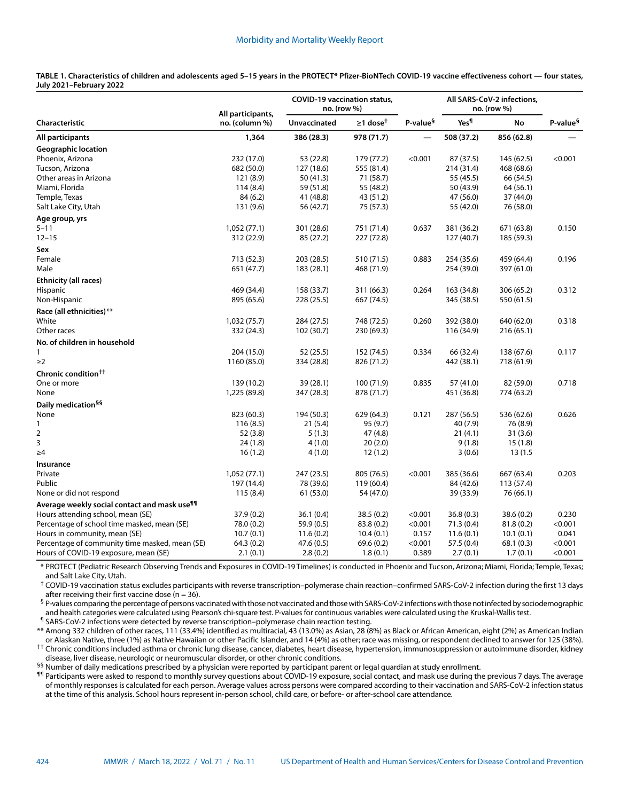#### Morbidity and Mortality Weekly Report

**TABLE 1. Characteristics of children and adolescents aged 5–15 years in the PROTECT\* Pfizer-BioNTech COVID-19 vaccine effectiveness cohort — four states, July 2021–February 2022**

|                                                          | All participants,<br>no. (column %) | <b>COVID-19 vaccination status,</b><br>no. (row %) |                            |                      | All SARS-CoV-2 infections,<br>no. (row %) |            |                      |
|----------------------------------------------------------|-------------------------------------|----------------------------------------------------|----------------------------|----------------------|-------------------------------------------|------------|----------------------|
| Characteristic                                           |                                     | <b>Unvaccinated</b>                                | $\geq$ 1 dose <sup>t</sup> | P-value <sup>§</sup> | Yes <sup>¶</sup>                          | <b>No</b>  | P-value <sup>§</sup> |
| All participants                                         | 1,364                               | 386 (28.3)                                         | 978 (71.7)                 |                      | 508 (37.2)                                | 856 (62.8) |                      |
| <b>Geographic location</b>                               |                                     |                                                    |                            |                      |                                           |            |                      |
| Phoenix, Arizona                                         | 232 (17.0)                          | 53 (22.8)                                          | 179 (77.2)                 | < 0.001              | 87 (37.5)                                 | 145 (62.5) | < 0.001              |
| Tucson, Arizona                                          | 682 (50.0)                          | 127 (18.6)                                         | 555 (81.4)                 |                      | 214 (31.4)                                | 468 (68.6) |                      |
| Other areas in Arizona                                   | 121 (8.9)                           | 50 (41.3)                                          | 71 (58.7)                  |                      | 55 (45.5)                                 | 66 (54.5)  |                      |
| Miami, Florida                                           | 114(8.4)                            | 59 (51.8)                                          | 55 (48.2)                  |                      | 50 (43.9)                                 | 64 (56.1)  |                      |
| Temple, Texas                                            | 84 (6.2)                            | 41 (48.8)                                          | 43 (51.2)                  |                      | 47 (56.0)                                 | 37 (44.0)  |                      |
| Salt Lake City, Utah                                     | 131 (9.6)                           | 56 (42.7)                                          | 75 (57.3)                  |                      | 55 (42.0)                                 | 76 (58.0)  |                      |
| Age group, yrs                                           |                                     |                                                    |                            |                      |                                           |            |                      |
| $5 - 11$                                                 | 1,052 (77.1)                        | 301 (28.6)                                         | 751 (71.4)                 | 0.637                | 381 (36.2)                                | 671 (63.8) | 0.150                |
| $12 - 15$                                                | 312 (22.9)                          | 85 (27.2)                                          | 227 (72.8)                 |                      | 127(40.7)                                 | 185 (59.3) |                      |
| Sex                                                      |                                     |                                                    |                            |                      |                                           |            |                      |
| Female                                                   | 713 (52.3)                          | 203 (28.5)                                         | 510 (71.5)                 | 0.883                | 254 (35.6)                                | 459 (64.4) | 0.196                |
| Male                                                     | 651 (47.7)                          | 183 (28.1)                                         | 468 (71.9)                 |                      | 254 (39.0)                                | 397 (61.0) |                      |
| <b>Ethnicity (all races)</b>                             |                                     |                                                    |                            |                      |                                           |            |                      |
| <b>Hispanic</b>                                          | 469 (34.4)                          | 158 (33.7)                                         | 311 (66.3)                 | 0.264                | 163 (34.8)                                | 306 (65.2) | 0.312                |
| Non-Hispanic                                             | 895 (65.6)                          | 228(25.5)                                          | 667 (74.5)                 |                      | 345 (38.5)                                | 550 (61.5) |                      |
| Race (all ethnicities)**                                 |                                     |                                                    |                            |                      |                                           |            |                      |
| White                                                    | 1,032 (75.7)                        | 284 (27.5)                                         | 748 (72.5)                 | 0.260                | 392 (38.0)                                | 640 (62.0) | 0.318                |
| Other races                                              | 332 (24.3)                          | 102 (30.7)                                         | 230 (69.3)                 |                      | 116 (34.9)                                | 216 (65.1) |                      |
| No. of children in household                             |                                     |                                                    |                            |                      |                                           |            |                      |
| 1                                                        | 204 (15.0)                          | 52 (25.5)                                          | 152 (74.5)                 | 0.334                | 66 (32.4)                                 | 138 (67.6) | 0.117                |
| $\geq$ 2                                                 | 1160 (85.0)                         | 334 (28.8)                                         | 826 (71.2)                 |                      | 442 (38.1)                                | 718 (61.9) |                      |
| Chronic condition <sup>††</sup>                          |                                     |                                                    |                            |                      |                                           |            |                      |
| One or more                                              | 139 (10.2)                          | 39 (28.1)                                          | 100 (71.9)                 | 0.835                | 57 (41.0)                                 | 82 (59.0)  | 0.718                |
| None                                                     | 1,225 (89.8)                        | 347 (28.3)                                         | 878 (71.7)                 |                      | 451 (36.8)                                | 774 (63.2) |                      |
| Daily medication <sup>§§</sup>                           |                                     |                                                    |                            |                      |                                           |            |                      |
| None                                                     | 823 (60.3)                          | 194 (50.3)                                         | 629 (64.3)                 | 0.121                | 287 (56.5)                                | 536 (62.6) | 0.626                |
| $\mathbf{1}$                                             | 116(8.5)                            | 21(5.4)                                            | 95 (9.7)                   |                      | 40 (7.9)                                  | 76 (8.9)   |                      |
| 2                                                        | 52 (3.8)                            | 5(1.3)                                             | 47 (4.8)                   |                      | 21(4.1)                                   | 31(3.6)    |                      |
| 3                                                        | 24 (1.8)                            | 4(1.0)                                             | 20(2.0)                    |                      | 9(1.8)                                    | 15(1.8)    |                      |
| $\geq 4$                                                 | 16(1.2)                             | 4(1.0)                                             | 12(1.2)                    |                      | 3(0.6)                                    | 13(1.5)    |                      |
| Insurance                                                |                                     |                                                    |                            |                      |                                           |            |                      |
| Private                                                  | 1,052(77.1)                         | 247 (23.5)                                         | 805 (76.5)                 | < 0.001              | 385 (36.6)                                | 667 (63.4) | 0.203                |
| Public                                                   | 197 (14.4)                          | 78 (39.6)                                          | 119 (60.4)                 |                      | 84 (42.6)                                 | 113 (57.4) |                      |
| None or did not respond                                  | 115(8.4)                            | 61 (53.0)                                          | 54 (47.0)                  |                      | 39 (33.9)                                 | 76 (66.1)  |                      |
| Average weekly social contact and mask use <sup>¶¶</sup> |                                     |                                                    |                            |                      |                                           |            |                      |
| Hours attending school, mean (SE)                        | 37.9 (0.2)                          | 36.1(0.4)                                          | 38.5(0.2)                  | < 0.001              | 36.8(0.3)                                 | 38.6 (0.2) | 0.230                |
| Percentage of school time masked, mean (SE)              | 78.0 (0.2)                          | 59.9 (0.5)                                         | 83.8 (0.2)                 | < 0.001              | 71.3(0.4)                                 | 81.8(0.2)  | < 0.001              |
| Hours in community, mean (SE)                            | 10.7(0.1)                           | 11.6(0.2)                                          | 10.4(0.1)                  | 0.157                | 11.6(0.1)                                 | 10.1(0.1)  | 0.041                |
| Percentage of community time masked, mean (SE)           | 64.3(0.2)                           | 47.6(0.5)                                          | 69.6(0.2)                  | < 0.001              | 57.5(0.4)                                 | 68.1(0.3)  | < 0.001              |
| Hours of COVID-19 exposure, mean (SE)                    | 2.1(0.1)                            | 2.8(0.2)                                           | 1.8(0.1)                   | 0.389                | 2.7(0.1)                                  | 1.7(0.1)   | < 0.001              |

\* PROTECT (Pediatric Research Observing Trends and Exposures in COVID-19 Timelines) is conducted in Phoenix and Tucson, Arizona; Miami, Florida; Temple, Texas; and Salt Lake City, Utah.

† COVID-19 vaccination status excludes participants with reverse transcription–polymerase chain reaction–confirmed SARS-CoV-2 infection during the first 13 days after receiving their first vaccine dose ( $n = 36$ ).

§ P-values comparing the percentage of persons vaccinated with those not vaccinated and those with SARS-CoV-2 infections with those not infected by sociodemographic and health categories were calculated using Pearson's chi-square test. P-values for continuous variables were calculated using the Kruskal-Wallis test.

¶ SARS-CoV-2 infections were detected by reverse transcription–polymerase chain reaction testing.

\*\* Among 332 children of other races, 111 (33.4%) identified as multiracial, 43 (13.0%) as Asian, 28 (8%) as Black or African American, eight (2%) as American Indian or Alaskan Native, three (1%) as Native Hawaiian or other Pacific Islander, and 14 (4%) as other; race was missing, or respondent declined to answer for 125 (38%). †† Chronic conditions included asthma or chronic lung disease, cancer, diabetes, heart disease, hypertension, immunosuppression or autoimmune disorder, kidney disease, liver disease, neurologic or neuromuscular disorder, or other chronic conditions.

§§ Number of daily medications prescribed by a physician were reported by participant parent or legal guardian at study enrollment.

¶¶ Participants were asked to respond to monthly survey questions about COVID-19 exposure, social contact, and mask use during the previous 7 days. The average of monthly responses is calculated for each person. Average values across persons were compared according to their vaccination and SARS-CoV-2 infection status at the time of this analysis. School hours represent in-person school, child care, or before- or after-school care attendance.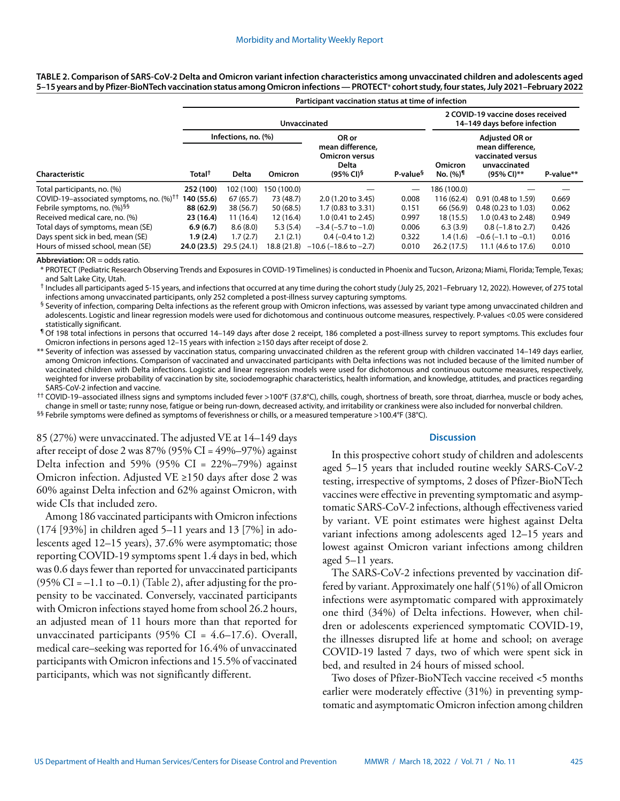**TABLE 2. Comparison of SARS-CoV-2 Delta and Omicron variant infection characteristics among unvaccinated children and adolescents aged 5–15 years and by Pfizer-BioNTech vaccination status among Omicron infections — PROTECT**\* **cohort study, four states, July 2021–February 2022**

|                                                           | Participant vaccination status at time of infection |                                     |                |                                                                                      |                      |                                                                   |                                                                                              |           |  |
|-----------------------------------------------------------|-----------------------------------------------------|-------------------------------------|----------------|--------------------------------------------------------------------------------------|----------------------|-------------------------------------------------------------------|----------------------------------------------------------------------------------------------|-----------|--|
|                                                           | <b>Unvaccinated</b>                                 |                                     |                |                                                                                      |                      | 2 COVID-19 vaccine doses received<br>14-149 days before infection |                                                                                              |           |  |
| Characteristic                                            | Total <sup>†</sup>                                  | Infections, no. (%)<br><b>Delta</b> | <b>Omicron</b> | OR or<br>mean difference.<br><b>Omicron versus</b><br>Delta<br>$(95\% \text{ Cl})^5$ | P-value <sup>§</sup> | Omicron<br>No. (%) <sup>¶</sup>                                   | <b>Adjusted OR or</b><br>mean difference.<br>vaccinated versus<br>unvaccinated<br>(95% CI)** | P-value** |  |
| Total participants, no. (%)                               | 252 (100)                                           | 102 (100)                           | 50 (100.0)     |                                                                                      |                      | 186 (100.0)                                                       |                                                                                              |           |  |
| COVID-19-associated symptoms, no. $(\%)^{\dagger\dagger}$ | 140 (55.6)                                          | 67(65.7)                            | 73 (48.7)      | 2.0 (1.20 to 3.45)                                                                   | 0.008                | 116 (62.4)                                                        | $0.91(0.48 \text{ to } 1.59)$                                                                | 0.669     |  |
| Febrile symptoms, no. (%) <sup>99</sup>                   | 88 (62.9)                                           | 38 (56.7)                           | 50 (68.5)      | 1.7 (0.83 to 3.31)                                                                   | 0.151                | 66 (56.9)                                                         | $0.48(0.23 \text{ to } 1.03)$                                                                | 0.062     |  |
| Received medical care, no. (%)                            | 23 (16.4)                                           | 11(16.4)                            | 12 (16.4)      | $1.0(0.41 \text{ to } 2.45)$                                                         | 0.997                | 18 (15.5)                                                         | 1.0 (0.43 to 2.48)                                                                           | 0.949     |  |
| Total days of symptoms, mean (SE)                         | 6.9(6.7)                                            | 8.6(8.0)                            | 5.3(5.4)       | $-3.4$ ( $-5.7$ to $-1.0$ )                                                          | 0.006                | 6.3(3.9)                                                          | $0.8$ (-1.8 to 2.7)                                                                          | 0.426     |  |
| Days spent sick in bed, mean (SE)                         | 1.9(2.4)                                            | 1.7(2.7)                            | 2.1(2.1)       | $0.4 (-0.4 \text{ to } 1.2)$                                                         | 0.322                | 1.4(1.6)                                                          | $-0.6$ ( $-1.1$ to $-0.1$ )                                                                  | 0.016     |  |
| Hours of missed school, mean (SE)                         | 24.0(23.5)                                          | 29.5(24.1)                          | 18.8 (21.8)    | $-10.6$ ( $-18.6$ to $-2.7$ )                                                        | 0.010                | 26.2(17.5)                                                        | 11.1 (4.6 to 17.6)                                                                           | 0.010     |  |

**Abbreviation:** OR = odds ratio.

\* PROTECT (Pediatric Research Observing Trends and Exposures in COVID-19 Timelines) is conducted in Phoenix and Tucson, Arizona; Miami, Florida; Temple, Texas; and Salt Lake City, Utah.

† Includes all participants aged 5-15 years, and infections that occurred at any time during the cohort study (July 25, 2021–February 12, 2022). However, of 275 total infections among unvaccinated participants, only 252 completed a post-illness survey capturing symptoms.

§ Severity of infection, comparing Delta infections as the referent group with Omicron infections, was assessed by variant type among unvaccinated children and adolescents. Logistic and linear regression models were used for dichotomous and continuous outcome measures, respectively. P-values <0.05 were considered statistically significant.

¶ Of 198 total infections in persons that occurred 14–149 days after dose 2 receipt, 186 completed a post-illness survey to report symptoms. This excludes four Omicron infections in persons aged 12–15 years with infection ≥150 days after receipt of dose 2.

\*\* Severity of infection was assessed by vaccination status, comparing unvaccinated children as the referent group with children vaccinated 14–149 days earlier, among Omicron infections. Comparison of vaccinated and unvaccinated participants with Delta infections was not included because of the limited number of vaccinated children with Delta infections. Logistic and linear regression models were used for dichotomous and continuous outcome measures, respectively, weighted for inverse probability of vaccination by site, sociodemographic characteristics, health information, and knowledge, attitudes, and practices regarding SARS-CoV-2 infection and vaccine.

†† COVID-19–associated illness signs and symptoms included fever >100°F (37.8°C), chills, cough, shortness of breath, sore throat, diarrhea, muscle or body aches, change in smell or taste; runny nose, fatigue or being run-down, decreased activity, and irritability or crankiness were also included for nonverbal children. §§ Febrile symptoms were defined as symptoms of feverishness or chills, or a measured temperature >100.4°F (38°C).

85 (27%) were unvaccinated. The adjusted VE at 14–149 days after receipt of dose 2 was  $87\%$  (95% CI = 49%–97%) against Delta infection and 59% (95% CI =  $22\%-79\%$ ) against Omicron infection. Adjusted VE ≥150 days after dose 2 was 60% against Delta infection and 62% against Omicron, with wide CIs that included zero.

Among 186 vaccinated participants with Omicron infections (174 [93%] in children aged 5–11 years and 13 [7%] in adolescents aged 12–15 years), 37.6% were asymptomatic; those reporting COVID-19 symptoms spent 1.4 days in bed, which was 0.6 days fewer than reported for unvaccinated participants  $(95\% \text{ CI} = -1.1 \text{ to } -0.1)$  (Table 2), after adjusting for the propensity to be vaccinated. Conversely, vaccinated participants with Omicron infections stayed home from school 26.2 hours, an adjusted mean of 11 hours more than that reported for unvaccinated participants (95% CI =  $4.6-17.6$ ). Overall, medical care–seeking was reported for 16.4% of unvaccinated participants with Omicron infections and 15.5% of vaccinated participants, which was not significantly different.

#### **Discussion**

In this prospective cohort study of children and adolescents aged 5–15 years that included routine weekly SARS-CoV-2 testing, irrespective of symptoms, 2 doses of Pfizer-BioNTech vaccines were effective in preventing symptomatic and asymptomatic SARS-CoV-2 infections, although effectiveness varied by variant. VE point estimates were highest against Delta variant infections among adolescents aged 12–15 years and lowest against Omicron variant infections among children aged 5–11 years.

The SARS-CoV-2 infections prevented by vaccination differed by variant. Approximately one half (51%) of all Omicron infections were asymptomatic compared with approximately one third (34%) of Delta infections. However, when children or adolescents experienced symptomatic COVID-19, the illnesses disrupted life at home and school; on average COVID-19 lasted 7 days, two of which were spent sick in bed, and resulted in 24 hours of missed school.

Two doses of Pfizer-BioNTech vaccine received <5 months earlier were moderately effective (31%) in preventing symptomatic and asymptomatic Omicron infection among children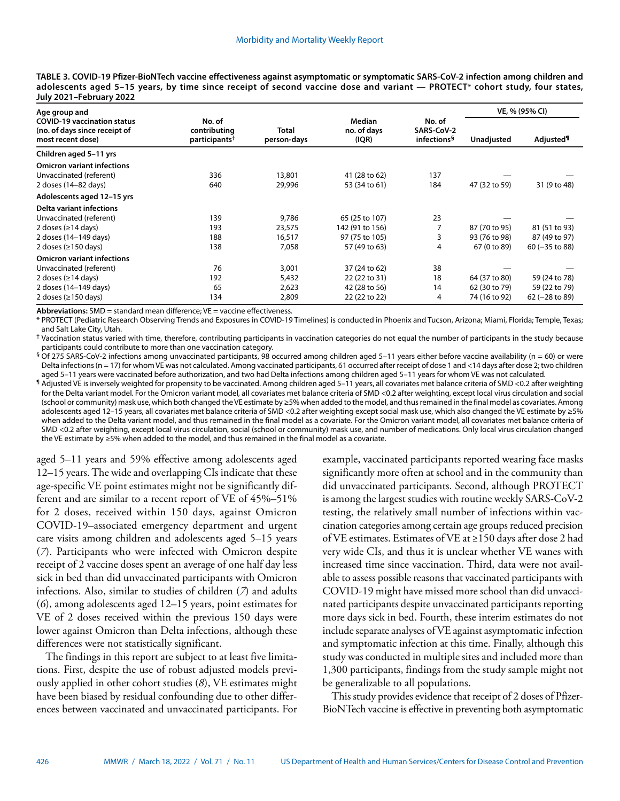**TABLE 3. COVID-19 Pfizer-BioNTech vaccine effectiveness against asymptomatic or symptomatic SARS-CoV-2 infection among children and adolescents aged 5–15 years, by time since receipt of second vaccine dose and variant — PROTECT**\* **cohort study, four states, July 2021–February 2022**

| Age group and                                                                            |                                                     |                             |                                       |                                                 | VE, % (95% CI) |                              |
|------------------------------------------------------------------------------------------|-----------------------------------------------------|-----------------------------|---------------------------------------|-------------------------------------------------|----------------|------------------------------|
| <b>COVID-19 vaccination status</b><br>(no. of days since receipt of<br>most recent dose) | No. of<br>contributing<br>participants <sup>†</sup> | <b>Total</b><br>person-days | <b>Median</b><br>no. of days<br>(IQR) | No. of<br>SARS-CoV-2<br>infections <sup>§</sup> | Unadjusted     | <b>Adjusted</b> <sup>1</sup> |
| Children aged 5-11 yrs                                                                   |                                                     |                             |                                       |                                                 |                |                              |
| <b>Omicron variant infections</b><br>Unvaccinated (referent)<br>2 doses (14-82 days)     | 336<br>640                                          | 13,801<br>29,996            | 41 (28 to 62)<br>53 (34 to 61)        | 137<br>184                                      | 47 (32 to 59)  | 31 (9 to 48)                 |
| Adolescents aged 12-15 yrs                                                               |                                                     |                             |                                       |                                                 |                |                              |
| <b>Delta variant infections</b>                                                          |                                                     |                             |                                       |                                                 |                |                              |
| Unvaccinated (referent)                                                                  | 139                                                 | 9,786                       | 65 (25 to 107)                        | 23                                              |                |                              |
| 2 doses ( $\geq$ 14 days)                                                                | 193                                                 | 23,575                      | 142 (91 to 156)                       |                                                 | 87 (70 to 95)  | 81 (51 to 93)                |
| 2 doses (14-149 days)                                                                    | 188                                                 | 16,517                      | 97 (75 to 105)                        |                                                 | 93 (76 to 98)  | 87 (49 to 97)                |
| 2 doses ( $\geq$ 150 days)                                                               | 138                                                 | 7,058                       | 57 (49 to 63)                         | 4                                               | 67 (0 to 89)   | $60 (-35 to 88)$             |
| <b>Omicron variant infections</b>                                                        |                                                     |                             |                                       |                                                 |                |                              |
| Unvaccinated (referent)                                                                  | 76                                                  | 3,001                       | 37 (24 to 62)                         | 38                                              |                |                              |
| 2 doses ( $\geq$ 14 days)                                                                | 192                                                 | 5,432                       | 22 (22 to 31)                         | 18                                              | 64 (37 to 80)  | 59 (24 to 78)                |
| 2 doses (14-149 days)                                                                    | 65                                                  | 2,623                       | 42 (28 to 56)                         | 14                                              | 62 (30 to 79)  | 59 (22 to 79)                |
| 2 doses ( $\geq$ 150 days)                                                               | 134                                                 | 2,809                       | 22 (22 to 22)                         | 4                                               | 74 (16 to 92)  | $62$ (-28 to 89)             |

**Abbreviations:** SMD = standard mean difference; VE = vaccine effectiveness.

\* PROTECT (Pediatric Research Observing Trends and Exposures in COVID-19 Timelines) is conducted in Phoenix and Tucson, Arizona; Miami, Florida; Temple, Texas; and Salt Lake City, Utah.

† Vaccination status varied with time, therefore, contributing participants in vaccination categories do not equal the number of participants in the study because participants could contribute to more than one vaccination category.

 $\frac{6}{10}$  Of 275 SARS-CoV-2 infections among unvaccinated participants, 98 occurred among children aged 5–11 years either before vaccine availability (n = 60) or were Delta infections (n = 17) for whom VE was not calculated. Among vaccinated participants, 61 occurred after receipt of dose 1 and <14 days after dose 2; two children aged 5–11 years were vaccinated before authorization, and two had Delta infections among children aged 5–11 years for whom VE was not calculated.

¶ Adjusted VE is inversely weighted for propensity to be vaccinated. Among children aged 5–11 years, all covariates met balance criteria of SMD <0.2 after weighting for the Delta variant model. For the Omicron variant model, all covariates met balance criteria of SMD <0.2 after weighting, except local virus circulation and social (school or community) mask use, which both changed the VE estimate by ≥5% when added to the model, and thus remained in the final model as covariates. Among adolescents aged 12-15 years, all covariates met balance criteria of SMD <0.2 after weighting except social mask use, which also changed the VE estimate by ≥5% when added to the Delta variant model, and thus remained in the final model as a covariate. For the Omicron variant model, all covariates met balance criteria of SMD <0.2 after weighting, except local virus circulation, social (school or community) mask use, and number of medications. Only local virus circulation changed the VE estimate by ≥5% when added to the model, and thus remained in the final model as a covariate.

aged 5–11 years and 59% effective among adolescents aged 12–15 years. The wide and overlapping CIs indicate that these age-specific VE point estimates might not be significantly different and are similar to a recent report of VE of 45%–51% for 2 doses, received within 150 days, against Omicron COVID-19–associated emergency department and urgent care visits among children and adolescents aged 5–15 years (*7*). Participants who were infected with Omicron despite receipt of 2 vaccine doses spent an average of one half day less sick in bed than did unvaccinated participants with Omicron infections. Also, similar to studies of children (*7*) and adults (*6*), among adolescents aged 12–15 years, point estimates for VE of 2 doses received within the previous 150 days were lower against Omicron than Delta infections, although these differences were not statistically significant.

The findings in this report are subject to at least five limitations. First, despite the use of robust adjusted models previously applied in other cohort studies (*8*), VE estimates might have been biased by residual confounding due to other differences between vaccinated and unvaccinated participants. For example, vaccinated participants reported wearing face masks significantly more often at school and in the community than did unvaccinated participants. Second, although PROTECT is among the largest studies with routine weekly SARS-CoV-2 testing, the relatively small number of infections within vaccination categories among certain age groups reduced precision of VE estimates. Estimates of VE at ≥150 days after dose 2 had very wide CIs, and thus it is unclear whether VE wanes with increased time since vaccination. Third, data were not available to assess possible reasons that vaccinated participants with COVID-19 might have missed more school than did unvaccinated participants despite unvaccinated participants reporting more days sick in bed. Fourth, these interim estimates do not include separate analyses of VE against asymptomatic infection and symptomatic infection at this time. Finally, although this study was conducted in multiple sites and included more than 1,300 participants, findings from the study sample might not be generalizable to all populations.

This study provides evidence that receipt of 2 doses of Pfizer-BioNTech vaccine is effective in preventing both asymptomatic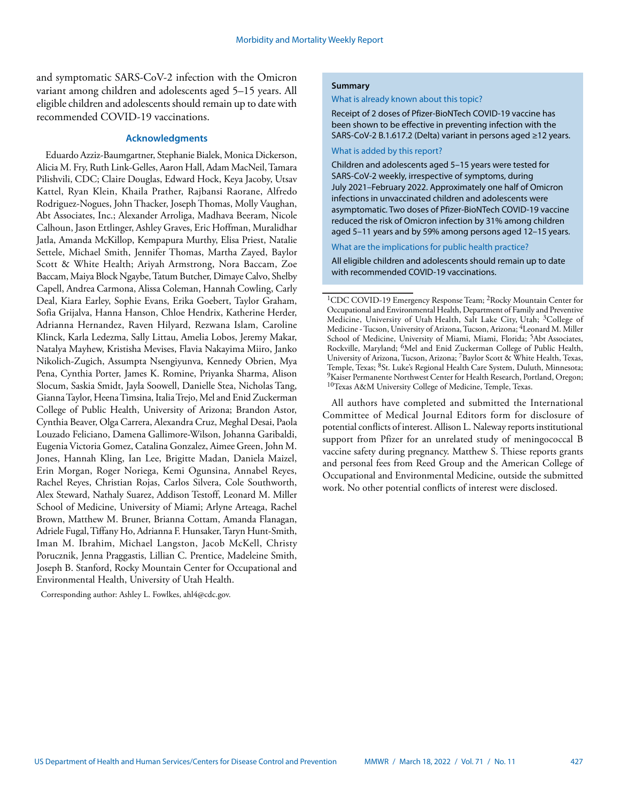and symptomatic SARS-CoV-2 infection with the Omicron variant among children and adolescents aged 5–15 years. All eligible children and adolescents should remain up to date with recommended COVID-19 vaccinations.

#### **Acknowledgments**

Eduardo Azziz-Baumgartner, Stephanie Bialek, Monica Dickerson, Alicia M. Fry, Ruth Link-Gelles, Aaron Hall, Adam MacNeil, Tamara Pilishvili, CDC; Claire Douglas, Edward Hock, Keya Jacoby, Utsav Kattel, Ryan Klein, Khaila Prather, Rajbansi Raorane, Alfredo Rodriguez-Nogues, John Thacker, Joseph Thomas, Molly Vaughan, Abt Associates, Inc.; Alexander Arroliga, Madhava Beeram, Nicole Calhoun, Jason Ettlinger, Ashley Graves, Eric Hoffman, Muralidhar Jatla, Amanda McKillop, Kempapura Murthy, Elisa Priest, Natalie Settele, Michael Smith, Jennifer Thomas, Martha Zayed, Baylor Scott & White Health; Ariyah Armstrong, Nora Baccam, Zoe Baccam, Maiya Block Ngaybe, Tatum Butcher, Dimaye Calvo, Shelby Capell, Andrea Carmona, Alissa Coleman, Hannah Cowling, Carly Deal, Kiara Earley, Sophie Evans, Erika Goebert, Taylor Graham, Sofia Grijalva, Hanna Hanson, Chloe Hendrix, Katherine Herder, Adrianna Hernandez, Raven Hilyard, Rezwana Islam, Caroline Klinck, Karla Ledezma, Sally Littau, Amelia Lobos, Jeremy Makar, Natalya Mayhew, Kristisha Mevises, Flavia Nakayima Miiro, Janko Nikolich-Zugich, Assumpta Nsengiyunva, Kennedy Obrien, Mya Pena, Cynthia Porter, James K. Romine, Priyanka Sharma, Alison Slocum, Saskia Smidt, Jayla Soowell, Danielle Stea, Nicholas Tang, Gianna Taylor, Heena Timsina, Italia Trejo, Mel and Enid Zuckerman College of Public Health, University of Arizona; Brandon Astor, Cynthia Beaver, Olga Carrera, Alexandra Cruz, Meghal Desai, Paola Louzado Feliciano, Damena Gallimore-Wilson, Johanna Garibaldi, Eugenia Victoria Gomez, Catalina Gonzalez, Aimee Green, John M. Jones, Hannah Kling, Ian Lee, Brigitte Madan, Daniela Maizel, Erin Morgan, Roger Noriega, Kemi Ogunsina, Annabel Reyes, Rachel Reyes, Christian Rojas, Carlos Silvera, Cole Southworth, Alex Steward, Nathaly Suarez, Addison Testoff, Leonard M. Miller School of Medicine, University of Miami; Arlyne Arteaga, Rachel Brown, Matthew M. Bruner, Brianna Cottam, Amanda Flanagan, Adriele Fugal, Tiffany Ho, Adrianna F. Hunsaker, Taryn Hunt-Smith, Iman M. Ibrahim, Michael Langston, Jacob McKell, Christy Porucznik, Jenna Praggastis, Lillian C. Prentice, Madeleine Smith, Joseph B. Stanford, Rocky Mountain Center for Occupational and Environmental Health, University of Utah Health.

Corresponding author: Ashley L. Fowlkes, [ahl4@cdc.gov.](mailto:ahl4@cdc.gov)

### **Summary**

#### What is already known about this topic?

Receipt of 2 doses of Pfizer-BioNTech COVID-19 vaccine has been shown to be effective in preventing infection with the SARS-CoV-2 B.1.617.2 (Delta) variant in persons aged ≥12 years.

#### What is added by this report?

Children and adolescents aged 5–15 years were tested for SARS-CoV-2 weekly, irrespective of symptoms, during July 2021–February 2022. Approximately one half of Omicron infections in unvaccinated children and adolescents were asymptomatic. Two doses of Pfizer-BioNTech COVID-19 vaccine reduced the risk of Omicron infection by 31% among children aged 5–11 years and by 59% among persons aged 12–15 years.

What are the implications for public health practice?

All eligible children and adolescents should remain up to date with recommended COVID-19 vaccinations.

1CDC COVID-19 Emergency Response Team; 2Rocky Mountain Center for Occupational and Environmental Health, Department of Family and Preventive Medicine, University of Utah Health, Salt Lake City, Utah; 3College of Medicine - Tucson, University of Arizona, Tucson, Arizona; 4Leonard M. Miller School of Medicine, University of Miami, Miami, Florida; <sup>5</sup>Abt Associates, Rockville, Maryland; 6Mel and Enid Zuckerman College of Public Health, University of Arizona, Tucson, Arizona; 7Baylor Scott & White Health, Texas, Temple, Texas; 8St. Luke's Regional Health Care System, Duluth, Minnesota; <sup>9</sup>Kaiser Permanente Northwest Center for Health Research, Portland, Oregon; 10Texas A&M University College of Medicine, Temple, Texas.

All authors have completed and submitted the International Committee of Medical Journal Editors form for disclosure of potential conflicts of interest. Allison L. Naleway reports institutional support from Pfizer for an unrelated study of meningococcal B vaccine safety during pregnancy. Matthew S. Thiese reports grants and personal fees from Reed Group and the American College of Occupational and Environmental Medicine, outside the submitted work. No other potential conflicts of interest were disclosed.